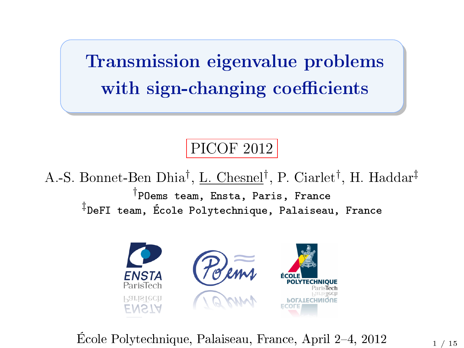Transmission eigenvalue problems with sign-changing coefficients

#### PICOF 2012

A.-S. Bonnet-Ben Dhia<sup>†</sup>, <u>L. Chesnel</u>†, P. Ciarlet<sup>†</sup>, H. Haddar<sup>‡</sup> † POems team, Ensta, Paris, France ‡ DeFI team, École Polytechnique, Palaiseau, France



École Polytechnique, Palaiseau, France, April 2-4, 2012  $1/15$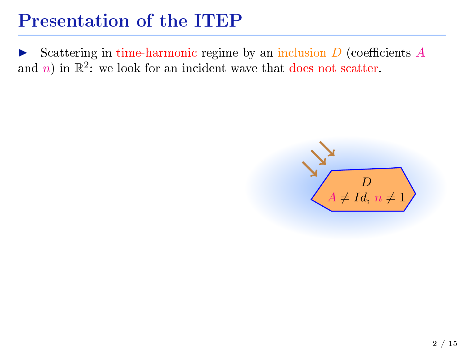Scattering in time-harmonic regime by an inclusion  $D$  (coefficients  $A$ and *n*) in  $\mathbb{R}^2$ : we look for an incident wave that does not scatter.

<span id="page-1-0"></span>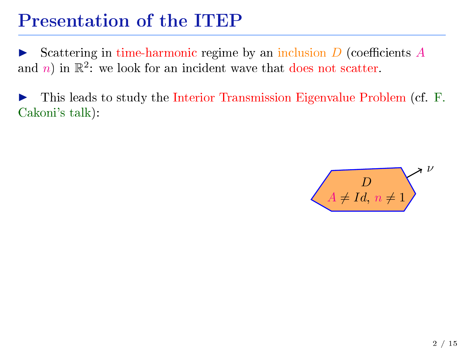Scattering in time-harmonic regime by an inclusion  $D$  (coefficients  $A$ and *n*) in  $\mathbb{R}^2$ : we look for an incident wave that does not scatter.

This leads to study the Interior Transmission Eigenvalue Problem (cf. F. Cakoni's talk):

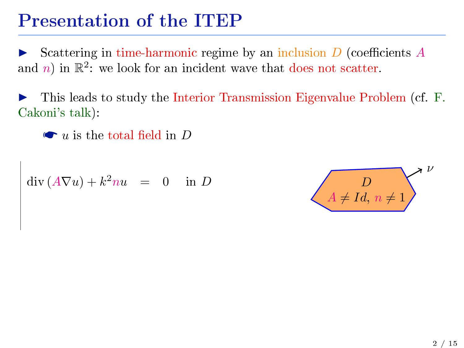Scattering in time-harmonic regime by an inclusion  $D$  (coefficients  $A$ and *n*) in  $\mathbb{R}^2$ : we look for an incident wave that does not scatter.

I This leads to study the Interior Transmission Eigenvalue Problem (cf. F. Cakoni's talk):

 $\bullet u$  is the total field in D

$$
\operatorname{div}(A\nabla u) + k^2 nu = 0 \quad \text{in } D
$$

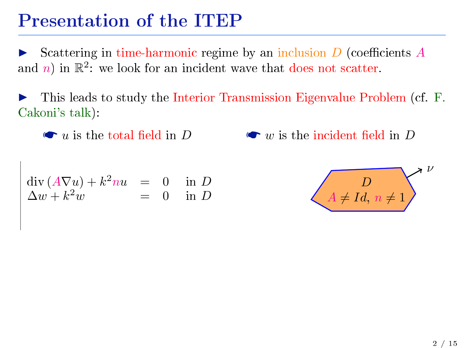Scattering in time-harmonic regime by an inclusion  $D$  (coefficients  $A$ and *n*) in  $\mathbb{R}^2$ : we look for an incident wave that does not scatter.

This leads to study the Interior Transmission Eigenvalue Problem (cf. F. Cakoni's talk):

 $\bullet u$  is the total field in D

 $\bullet$  w is the incident field in D

$$
\begin{array}{rcl}\n\operatorname{div}\left(A\nabla u\right) + k^2 nu & = & 0 & \text{in } D\\
\Delta w + k^2 w & = & 0 & \text{in } D\n\end{array}
$$

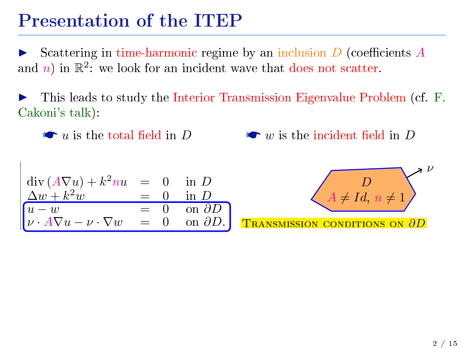Scattering in time-harmonic regime by an inclusion  $D$  (coefficients  $A$ and *n*) in  $\mathbb{R}^2$ : we look for an incident wave that does not scatter.

This leads to study the Interior Transmission Eigenvalue Problem (cf. F. Cakoni's talk):

 $\bullet$  u is the total field in D

 $\bullet$  w is the incident field in D

$$
\begin{array}{rcl}\n\operatorname{div}\left(A\nabla u\right) + k^2 nu & = & 0 & \text{in } D\\
\frac{\Delta w + k^2 w}{u - w} & = & 0 & \text{in } D\\
\hline\nu \cdot A\nabla u - \nu \cdot \nabla w & = & 0 & \text{on } \partial D\\
\end{array}
$$

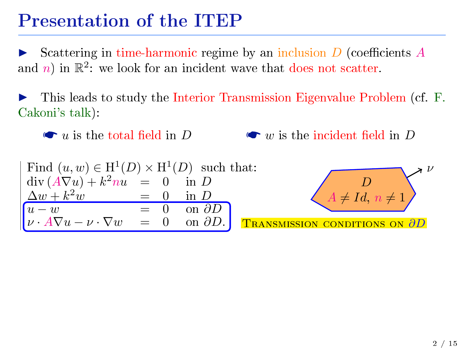Scattering in time-harmonic regime by an inclusion  $D$  (coefficients  $A$ and *n*) in  $\mathbb{R}^2$ : we look for an incident wave that does not scatter.

I This leads to study the Interior Transmission Eigenvalue Problem (cf. F. Cakoni's talk):

 $\bullet u$  is the total field in D  $\bullet$  w is the incident field in D

Find 
$$
(u, w) \in H^1(D) \times H^1(D)
$$
 such that:  
\n
$$
\begin{array}{rcl}\n\text{div}(A\nabla u) + k^2 nu & = & 0 \quad \text{in } D \\
\frac{\Delta w + k^2 w}{u - w} & = & 0 \quad \text{in } D \\
\boxed{u - w} & = & 0 \quad \text{on } \partial D \\
\nu \cdot A\nabla u - \nu \cdot \nabla w & = & 0 \quad \text{on } \partial D.\n\end{array}
$$
\n**Transmission contributions on**  $\frac{\partial D}{\partial D}$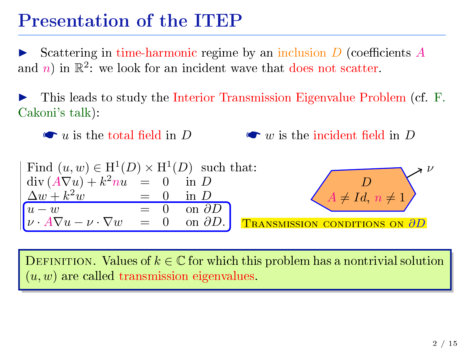Scattering in time-harmonic regime by an inclusion  $D$  (coefficients  $A$ and *n*) in  $\mathbb{R}^2$ : we look for an incident wave that does not scatter.

I This leads to study the Interior Transmission Eigenvalue Problem (cf. F. Cakoni's talk):

 $\bullet$  u is the total field in D  $\bullet$  w is the incident field in D

Find 
$$
(u, w) \in H^1(D) \times H^1(D)
$$
 such that:  
\n
$$
\begin{array}{rcl}\n\text{div}(A\nabla u) + k^2 nu & = & 0 \\
\Delta w + k^2 w & = & 0 \\
\hline\nu - w & = & 0 \\
\nu \cdot A\nabla u - \nu \cdot \nabla w & = & 0 \\
\end{array}
$$
 on  $\frac{\partial D}{\partial D}$   
\n**Transmission contributions on  $\frac{\partial D}{\partial D}$** 

DEFINITION. Values of  $k \in \mathbb{C}$  for which this problem has a nontrivial solution  $(u, w)$  are called transmission eigenvalues.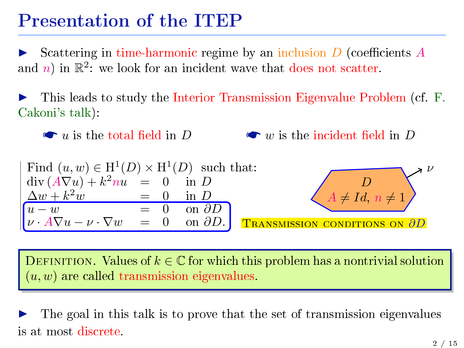Scattering in time-harmonic regime by an inclusion  $D$  (coefficients  $A$ and *n*) in  $\mathbb{R}^2$ : we look for an incident wave that does not scatter.

I This leads to study the Interior Transmission Eigenvalue Problem (cf. F. Cakoni's talk):

 $\bullet$  u is the total field in D  $\bullet$  w is the incident field in D

Find 
$$
(u, w) \in H^1(D) \times H^1(D)
$$
 such that:  
\n
$$
\begin{array}{rcl}\n\text{div}(A\nabla u) + k^2 nu & = & 0 \quad \text{in } D \\
\frac{\Delta w + k^2 w}{u - w} & = & 0 \quad \text{in } D \\
\nu \cdot A\nabla u - \nu \cdot \nabla w & = & 0 \quad \text{on } \partial D\n\end{array}
$$
\n
$$
\begin{array}{rcl}\n\text{such that:} \\
B & = & 0 \\
\hline\n\text{max} & = & 0 \quad \text{on } \partial D \\
\hline\n\text{max} & = & 0 \quad \text{on } \partial D\n\end{array}
$$

DEFINITION. Values of  $k \in \mathbb{C}$  for which this problem has a nontrivial solution  $(u, w)$  are called transmission eigenvalues.

The goal in this talk is to prove that the set of transmission eigenvalues is at most discrete.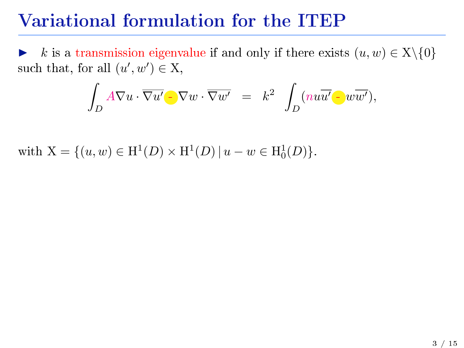k is a transmission eigenvalue if and only if there exists  $(u, w) \in X \setminus \{0\}$ such that, for all  $(u', w') \in X$ ,

$$
\int_D A \nabla u \cdot \overline{\nabla u'} \cdot \nabla w \cdot \overline{\nabla w'} = k^2 \int_D (n u \overline{u'} \cdot w \overline{w'}),
$$

with  $X = \{(u, w) \in H^1(D) \times H^1(D) | u - w \in H_0^1(D) \}.$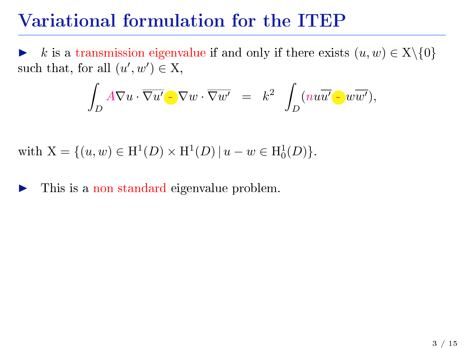k is a transmission eigenvalue if and only if there exists  $(u, w) \in X \setminus \{0\}$ such that, for all  $(u', w') \in X$ ,

$$
\int_D A \nabla u \cdot \overline{\nabla u'} \cdot \nabla w \cdot \overline{\nabla w'} = k^2 \int_D (n u \overline{u'} \cdot w \overline{w'}),
$$

with  $X = \{(u, w) \in H^1(D) \times H^1(D) | u - w \in H_0^1(D) \}.$ 

This is a non standard eigenvalue problem.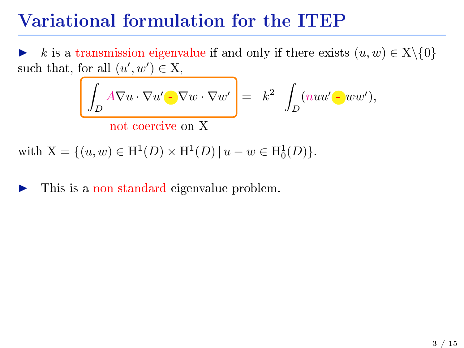k is a transmission eigenvalue if and only if there exists  $(u, w) \in X \setminus \{0\}$ such that, for all  $(u', w') \in X$ ,

$$
\int_D A \nabla u \cdot \overline{\nabla u'} \cdot \nabla w \cdot \overline{\nabla w'} \Bigg] = k^2 \int_D (nu \overline{u'} \cdot w \overline{w'}),
$$

not coercive on X

with  $X = \{(u, w) \in H^1(D) \times H^1(D) | u - w \in H_0^1(D) \}.$ 

#### This is a non standard eigenvalue problem.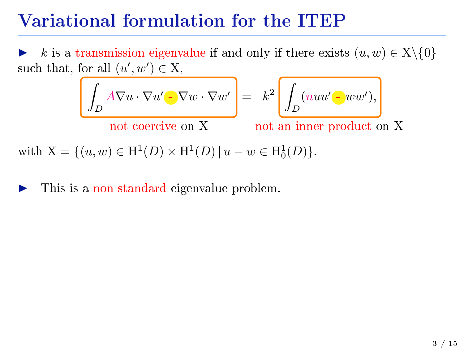k is a transmission eigenvalue if and only if there exists  $(u, w) \in X \setminus \{0\}$ such that, for all  $(u', w') \in X$ ,

$$
\left(\int_D A \nabla u \cdot \overline{\nabla u'} - \nabla w \cdot \overline{\nabla w'}\right) = k^2 \left(\int_D (nu\overline{u'} - \overline{w'}),\right)
$$

not coercive on X not an inner product on X

with  $X = \{(u, w) \in H^1(D) \times H^1(D) | u - w \in H_0^1(D) \}.$ 

#### This is a non standard eigenvalue problem.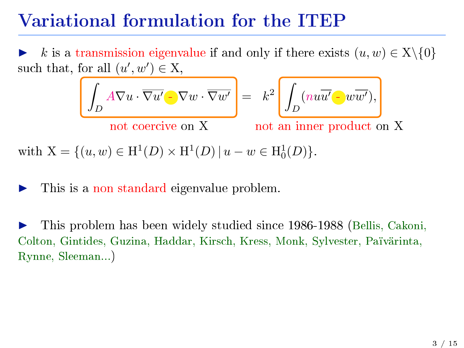k is a transmission eigenvalue if and only if there exists  $(u, w) \in X \setminus \{0\}$ such that, for all  $(u', w') \in X$ ,

$$
\left(\int_D A \nabla u \cdot \overline{\nabla u'} - \nabla w \cdot \overline{\nabla w'}\right) = k^2 \left(\int_D (nu\overline{u'} - \overline{w'}),\right)
$$

not coercive on X not an inner product on X

with  $X = \{(u, w) \in H^1(D) \times H^1(D) | u - w \in H_0^1(D) \}.$ 

#### This is a non standard eigenvalue problem.

I This problem has been widely studied since 1986-1988 (Bellis, Cakoni, Colton, Gintides, Guzina, Haddar, Kirsch, Kress, Monk, Sylvester, Païvärinta, Rynne, Sleeman...)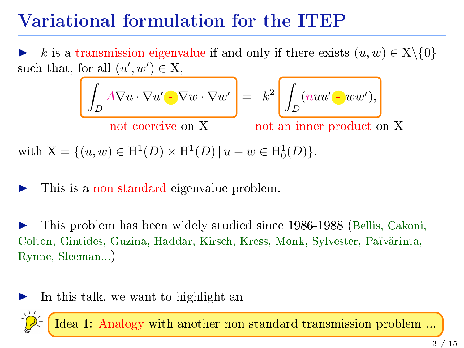k is a transmission eigenvalue if and only if there exists  $(u, w) \in X \setminus \{0\}$ such that, for all  $(u', w') \in X$ ,

$$
\left(\int_D A \nabla u \cdot \overline{\nabla u'} - \nabla w \cdot \overline{\nabla w'}\right) = k^2 \left(\int_D (nu\overline{u'} - w\overline{w'}),\right)
$$

not coercive on X not an inner product on X

with  $X = \{(u, w) \in H^1(D) \times H^1(D) | u - w \in H_0^1(D) \}.$ 

#### This is a non standard eigenvalue problem.

I This problem has been widely studied since 1986-1988 (Bellis, Cakoni, Colton, Gintides, Guzina, Haddar, Kirsch, Kress, Monk, Sylvester, Païvärinta, Rynne, Sleeman...)



Idea 1: Analogy with another non standard transmission problem ...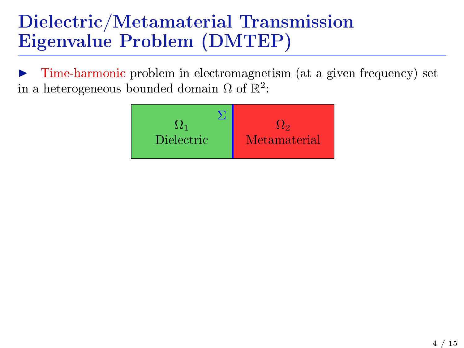I Time-harmonic problem in electromagnetism (at a given frequency) set in a heterogeneous bounded domain  $\Omega$  of  $\mathbb{R}^2$ :

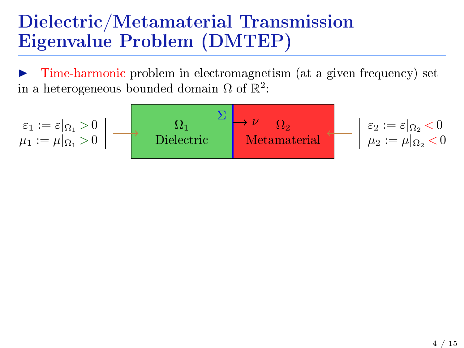Time-harmonic problem in electromagnetism (at a given frequency) set in a heterogeneous bounded domain  $\Omega$  of  $\mathbb{R}^2$ :

$$
\begin{array}{c}\n\varepsilon_1 := \varepsilon|_{\Omega_1} > 0 \\
\mu_1 := \mu|_{\Omega_1} > 0\n\end{array} \longrightarrow \begin{array}{c}\n\Omega_1 & \Sigma \\
\hline\n\text{Dielectric} \\
\text{Metamaterial}\n\end{array} \longrightarrow \begin{array}{c}\n\varepsilon_2 := \varepsilon|_{\Omega_2} < 0 \\
\mu_2 := \mu|_{\Omega_2} < 0\n\end{array}
$$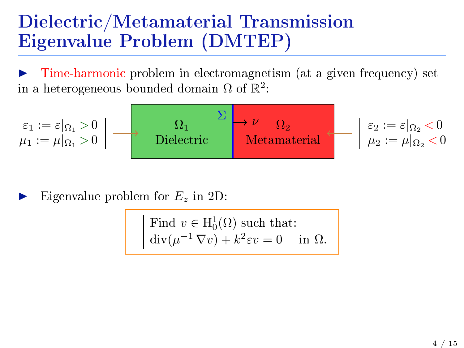I Time-harmonic problem in electromagnetism (at a given frequency) set in a heterogeneous bounded domain  $\Omega$  of  $\mathbb{R}^2$ :

$$
\begin{array}{c}\n\varepsilon_1 := \varepsilon|_{\Omega_1} > 0 \\
\mu_1 := \mu|_{\Omega_1} > 0\n\end{array} \longrightarrow \begin{array}{c}\n\Omega_1 \\
\text{Dielectric}\n\end{array}\n\begin{array}{c}\n\Sigma \\
\longrightarrow \nu \\
\text{Metamaterial}\n\end{array}\n\begin{array}{c}\n\Omega_2 \\
\longrightarrow \nu \\
\mu_2 := \varepsilon|_{\Omega_2} < 0 \\
\end{array}
$$

Eigenvalue problem for  $E_z$  in 2D:

Find 
$$
v \in H_0^1(\Omega)
$$
 such that:  
\n
$$
\text{div}(\mu^{-1} \nabla v) + k^2 \varepsilon v = 0 \quad \text{in } \Omega.
$$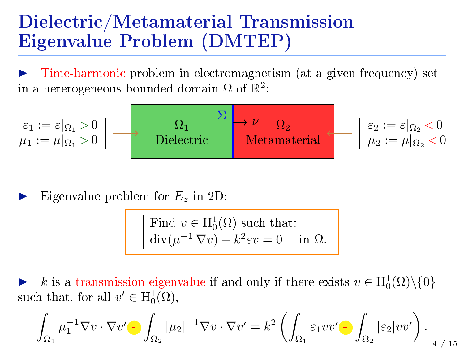Time-harmonic problem in electromagnetism (at a given frequency) set in a heterogeneous bounded domain  $\Omega$  of  $\mathbb{R}^2$ :

$$
\begin{array}{c}\n\varepsilon_1 := \varepsilon|_{\Omega_1} > 0 \\
\mu_1 := \mu|_{\Omega_1} > 0\n\end{array} \longrightarrow \begin{array}{c}\n\Omega_1 \\
\longrightarrow \Omega_2 \\
\text{Dielectric}\n\end{array}\n\begin{array}{c}\n\Sigma \\
\longrightarrow \nu \\
\text{Metamaterial}\n\end{array}\n\begin{array}{c}\n\varepsilon_2 := \varepsilon|_{\Omega_2} < 0 \\
\mu_2 := \mu|_{\Omega_2} < 0\n\end{array}
$$

Eigenvalue problem for  $E_z$  in 2D:

Find 
$$
v \in H_0^1(\Omega)
$$
 such that:  
\n
$$
\text{div}(\mu^{-1} \nabla v) + k^2 \varepsilon v = 0 \quad \text{in } \Omega.
$$

► k is a transmission eigenvalue if and only if there exists  $v \in H_0^1(\Omega) \setminus \{0\}$ such that, for all  $v' \in H_0^1(\Omega)$ ,

$$
\int_{\Omega_1} \mu_1^{-1} \nabla v \cdot \overline{\nabla v'} \cdot \int_{\Omega_2} |\mu_2|^{-1} \nabla v \cdot \overline{\nabla v'} = k^2 \left( \int_{\Omega_1} \varepsilon_1 v \overline{v'} \cdot \int_{\Omega_2} |\varepsilon_2| v \overline{v'} \right).
$$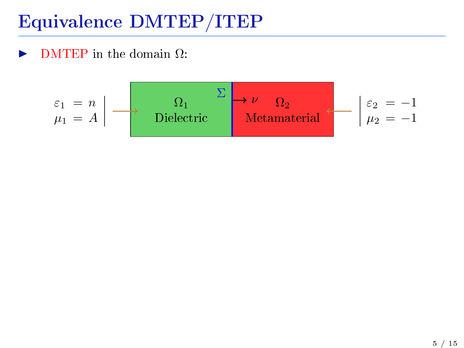$\triangleright$  DMTEP in the domain  $\Omega$ :

$$
\varepsilon_1 = n \downarrow \qquad \qquad \Omega_1 \qquad \qquad \Sigma \downarrow \qquad \Omega_2 \qquad \qquad \varepsilon_2 = -1
$$
\n
$$
\mu_1 = A \qquad \qquad \text{Dielectric} \qquad \qquad \text{Metamaterial} \qquad \varepsilon_2 = -1
$$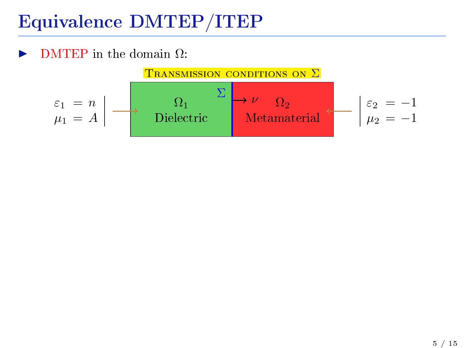**DMTEP** in the domain  $\Omega$ :

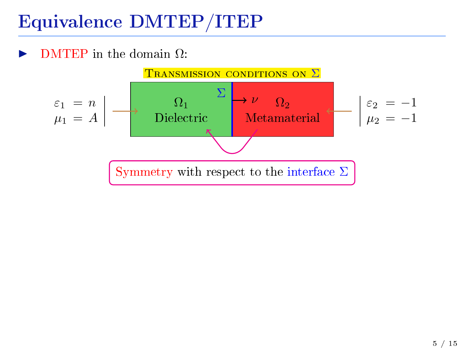**DMTEP** in the domain  $\Omega$ :

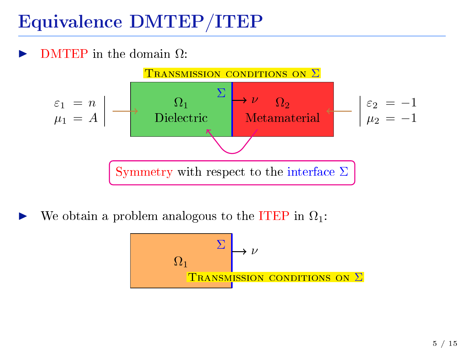$\overline{DMTER}$  in the domain  $\Omega$ :



We obtain a problem analogous to the ITEP in  $\Omega_1$ :

$$
\begin{array}{c}\n\begin{array}{c}\n\Sigma \\
\hline\n\end{array}\n\end{array}
$$
\n
$$
\begin{array}{c}\n\Omega_1 \\
\hline\n\end{array}
$$
\n
$$
\begin{array}{c}\n\Gamma_{\text{RANSM}}\text{ISSION CONDITIONS ON } \Sigma\n\end{array}
$$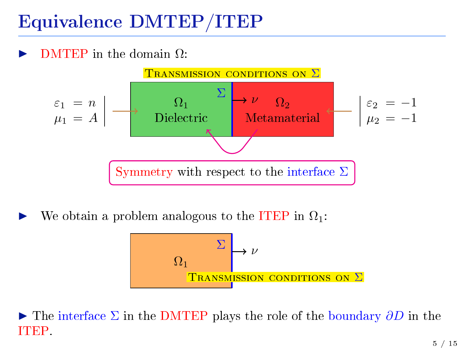$\overline{DMTER}$  in the domain  $\Omega$ :



We obtain a problem analogous to the ITEP in  $\Omega_1$ :

$$
\Omega_1 \longrightarrow \nu
$$
  
Transm<sub>ISSION</sub> *conv*ations on  $\Sigma$ 

 $\triangleright$  The interface  $\Sigma$  in the DMTEP plays the role of the boundary  $\partial D$  in the ITEP.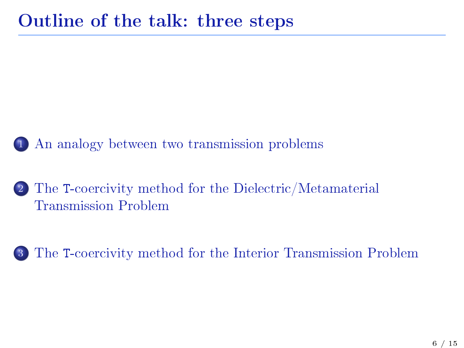1 [An analogy between two transmission problems](#page-1-0)

<sup>2</sup> The [T-coercivity method for the Dielectric/Metamaterial](#page-25-0) [Transmission Problem](#page-25-0)

<sup>3</sup> The [T-coercivity method for the Interior Transmission Problem](#page-45-0)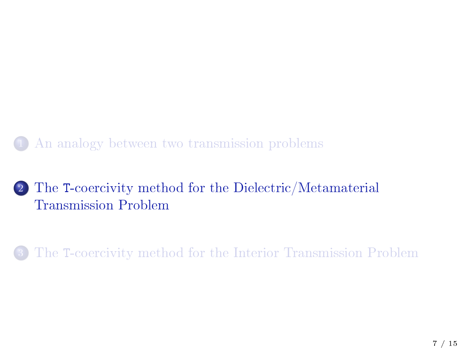1 [An analogy between two transmission problems](#page-1-0)

#### <sup>2</sup> The [T-coercivity method for the Dielectric/Metamaterial](#page-25-0) [Transmission Problem](#page-25-0)

<span id="page-25-0"></span><sup>3</sup> The [T-coercivity method for the Interior Transmission Problem](#page-45-0)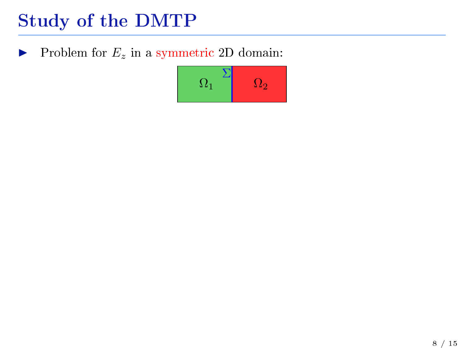Problem for  $E_z$  in a symmetric 2D domain:

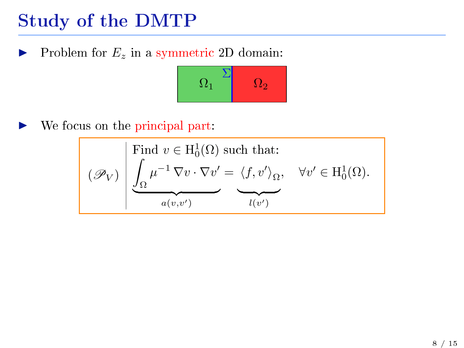Problem for  $E_z$  in a symmetric 2D domain:



We focus on the principal part:

$$
(\mathscr{P}_V) \left| \underbrace{\int_{\Omega} \mu^{-1} \nabla v \cdot \nabla v'}_{a(v,v')} - \underbrace{\langle f, v' \rangle_{\Omega}}_{l(v')} , \quad \forall v' \in H_0^1(\Omega).
$$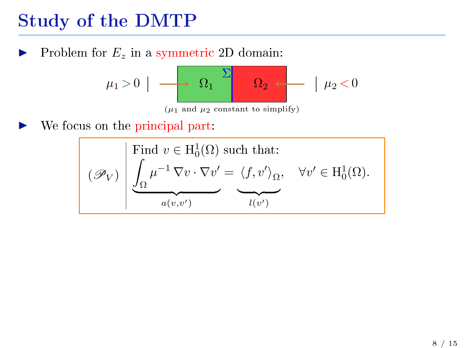Problem for  $E_z$  in a symmetric 2D domain:

$$
\mu_1 > 0 \left| \begin{array}{c} \hline \text{min.} \\ \hline \text{min.} \\ \text{min.} \\ \text{min.} \\ \mu_1 \text{ and } \mu_2 \text{ constant to simplify} \end{array} \right| \mu_2 < 0
$$

We focus on the principal part:

$$
(\mathscr{P}_V) \left| \underbrace{\int_{\Omega} \mu^{-1} \nabla v \cdot \nabla v'}_{a(v,v')} - \underbrace{\langle f, v' \rangle_{\Omega}}_{l(v')} , \quad \forall v' \in H_0^1(\Omega).
$$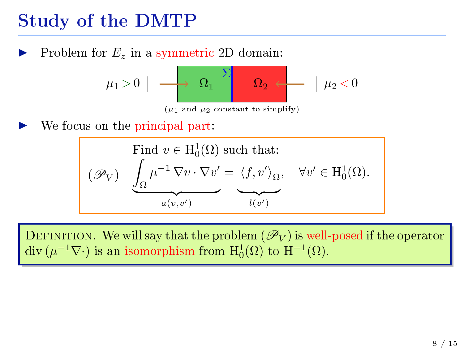Problem for  $E_z$  in a symmetric 2D domain:

Ω<sup>1</sup> Ω<sup>2</sup> Σ µ<sup>1</sup> > 0 µ<sup>2</sup> < 0 (µ1 and µ2 constant to simplify)

We focus on the principal part:

$$
(\mathscr{P}_V) \left\{ \underbrace{\int_{\Omega} \mu^{-1} \nabla v \cdot \nabla v'}_{a(v,v')} = \underbrace{\langle f, v' \rangle_{\Omega}}_{l(v')} , \quad \forall v' \in H_0^1(\Omega).
$$

DEFINITION. We will say that the problem  $(\mathscr{P}_V)$  is well-posed if the operator div  $(\mu^{-1}\nabla \cdot)$  is an isomorphism from  $H_0^1(\Omega)$  to  $H^{-1}(\Omega)$ .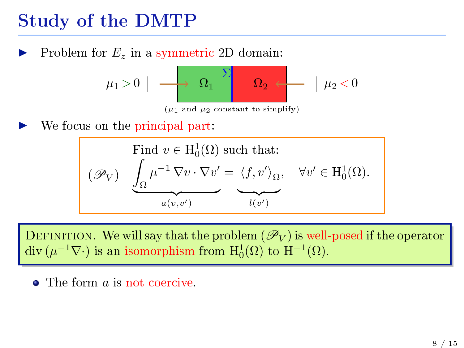Problem for  $E_z$  in a symmetric 2D domain:

$$
\mu_1 > 0 \left| \begin{array}{c} \hline \rule{0mm}{2mm} \\ \rule{0mm}{2mm} \end{array} \right| \left. \begin{array}{c} \hline \\ \rule{0mm}{2mm} \\ \rule{0mm}{2mm} \end{array} \right| \left. \begin{array}{c} \hline \\ \rule{0mm}{2mm} \\ \rule{0mm}{2mm} \end{array} \right| \left. \begin{array}{c} \hline \\ \rule{0mm}{2mm} \\ \rule{0mm}{2mm} \end{array} \right| \left. \begin{array}{c} \hline \\ \rule{0mm}{2mm} \\ \rule{0mm}{2mm} \end{array} \right| \left. \begin{array}{c} \hline \\ \rule{0mm}{2mm} \\ \rule{0mm}{2mm} \end{array} \right| \left. \begin{array}{c} \hline \\ \rule{0mm}{2mm} \\ \rule{0mm}{2mm} \end{array} \right| \left. \begin{array}{c} \hline \\ \rule{0mm}{2mm} \\ \rule{0mm}{2mm} \end{array} \right| \left. \begin{array}{c} \hline \\ \rule{0mm}{2mm} \\ \rule{0mm}{2mm} \end{array} \right| \left. \begin{array}{c} \hline \\ \rule{0mm}{2mm} \\ \rule{0mm}{2mm} \end{array} \right| \left. \begin{array}{c} \hline \\ \rule{0mm}{2mm} \\ \rule{0mm}{2mm} \end{array} \right| \left. \begin{array}{c} \hline \\ \rule{0mm}{2mm} \\ \rule{0mm}{2mm} \end{array} \right| \left. \begin{array}{c} \hline \\ \rule{0mm}{2mm} \\ \rule{0mm}{2mm} \end{array} \right| \left. \begin{array}{c} \hline \\ \rule{0mm}{2mm} \\ \rule{0mm}{2mm} \end{array} \right| \left. \begin{array}{c} \hline \\ \rule{0mm}{2mm} \\ \rule{0mm}{2mm} \end{array} \right| \left. \begin{array}{c} \hline \\ \rule{0mm}{2mm} \\ \rule{0mm}{2mm} \end{array} \right| \left. \begin{array}{c} \hline \\ \rule{0mm}{2mm} \\ \rule{0mm}{2mm} \end{array} \right| \left. \begin{array}{c} \hline \\ \rule{0mm}{2mm} \\ \rule{0mm}{2mm} \end{array} \right| \left. \begin{array}{c} \hline \\ \rule
$$

We focus on the principal part:

$$
(\mathscr{P}_V) \left\{ \underbrace{\int_{\Omega} \mu^{-1} \nabla v \cdot \nabla v'}_{a(v,v')} = \underbrace{\langle f, v' \rangle_{\Omega}}_{l(v')} , \quad \forall v' \in H_0^1(\Omega).
$$

DEFINITION. We will say that the problem  $(\mathscr{P}_V)$  is well-posed if the operator div  $(\mu^{-1}\nabla \cdot)$  is an isomorphism from  $H_0^1(\Omega)$  to  $H^{-1}(\Omega)$ .

• The form *a* is not coercive.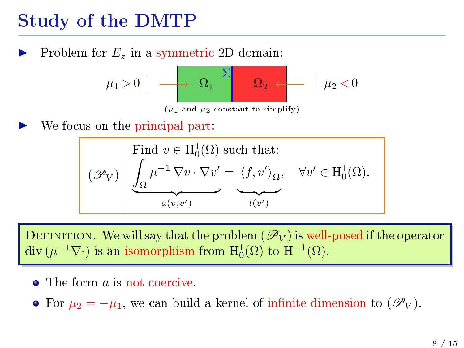Problem for  $E_z$  in a symmetric 2D domain:

$$
\mu_1 > 0 \left| \begin{array}{c} \hline \rule{0mm}{2mm} \\ \rule{0mm}{2mm} \end{array} \right| \left. \begin{array}{c} \hline \\ \rule{0mm}{2mm} \\ \rule{0mm}{2mm} \end{array} \right| \left. \begin{array}{c} \hline \\ \rule{0mm}{2mm} \\ \rule{0mm}{2mm} \end{array} \right| \left. \begin{array}{c} \hline \\ \rule{0mm}{2mm} \\ \rule{0mm}{2mm} \end{array} \right| \left. \begin{array}{c} \hline \\ \rule{0mm}{2mm} \\ \rule{0mm}{2mm} \end{array} \right| \left. \begin{array}{c} \hline \\ \rule{0mm}{2mm} \\ \rule{0mm}{2mm} \end{array} \right| \left. \begin{array}{c} \hline \\ \rule{0mm}{2mm} \\ \rule{0mm}{2mm} \end{array} \right| \left. \begin{array}{c} \hline \\ \rule{0mm}{2mm} \\ \rule{0mm}{2mm} \end{array} \right| \left. \begin{array}{c} \hline \\ \rule{0mm}{2mm} \\ \rule{0mm}{2mm} \end{array} \right| \left. \begin{array}{c} \hline \\ \rule{0mm}{2mm} \\ \rule{0mm}{2mm} \end{array} \right| \left. \begin{array}{c} \hline \\ \rule{0mm}{2mm} \\ \rule{0mm}{2mm} \end{array} \right| \left. \begin{array}{c} \hline \\ \rule{0mm}{2mm} \\ \rule{0mm}{2mm} \end{array} \right| \left. \begin{array}{c} \hline \\ \rule{0mm}{2mm} \\ \rule{0mm}{2mm} \end{array} \right| \left. \begin{array}{c} \hline \\ \rule{0mm}{2mm} \\ \rule{0mm}{2mm} \end{array} \right| \left. \begin{array}{c} \hline \\ \rule{0mm}{2mm} \\ \rule{0mm}{2mm} \end{array} \right| \left. \begin{array}{c} \hline \\ \rule{0mm}{2mm} \\ \rule{0mm}{2mm} \end{array} \right| \left. \begin{array}{c} \hline \\ \rule{0mm}{2mm} \\ \rule{0mm}{2mm} \end{array} \right| \left. \begin{array}{c} \hline \\ \rule{0mm}{2mm} \\ \rule{0mm}{2mm} \end{array} \right| \left. \begin{array}{c} \hline \\ \rule
$$

We focus on the principal part:

$$
(\mathscr{P}_V) \left\{ \underbrace{\int_{\Omega} \mu^{-1} \nabla v \cdot \nabla v'}_{a(v,v')} = \underbrace{\langle f, v' \rangle_{\Omega}}_{l(v')} , \quad \forall v' \in H_0^1(\Omega).
$$

DEFINITION. We will say that the problem  $(\mathscr{P}_V)$  is well-posed if the operator div  $(\mu^{-1}\nabla \cdot)$  is an isomorphism from  $H_0^1(\Omega)$  to  $H^{-1}(\Omega)$ .

- The form *a* is not coercive.
- For  $\mu_2 = -\mu_1$ , we can build a kernel of infinite dimension to  $(\mathscr{P}_V)$ .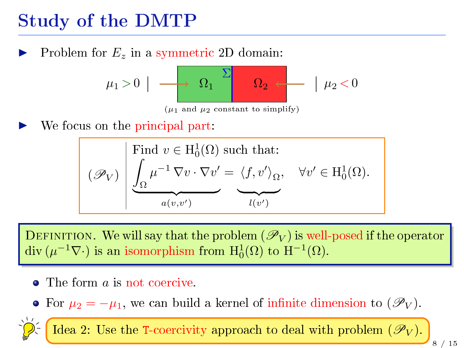Problem for  $E_z$  in a symmetric 2D domain:

$$
\mu_1 > 0 \left| \begin{array}{c} \hline \text{ } \\ \hline \text{ } \\ \text{ } \\ \text{ } \\ \text{ } \\ \mu_1 \text{ and } \mu_2 \text{ constant to simplify)} \end{array} \right| \left| \begin{array}{c} \hline \\ \mu_2 < 0 \end{array} \right|
$$

We focus on the principal part:

$$
(\mathscr{P}_V) \left\{ \underbrace{\int_{\Omega} \mu^{-1} \nabla v \cdot \nabla v'}_{a(v,v')} = \underbrace{\langle f, v' \rangle_{\Omega}}_{l(v')} , \quad \forall v' \in H_0^1(\Omega).
$$

DEFINITION. We will say that the problem  $(\mathscr{P}_V)$  is well-posed if the operator div  $(\mu^{-1}\nabla \cdot)$  is an isomorphism from  $H_0^1(\Omega)$  to  $H^{-1}(\Omega)$ .

- The form *a* is not coercive.
- For  $\mu_2 = -\mu_1$ , we can build a kernel of infinite dimension to  $(\mathscr{P}_V)$ .

Idea 2: Use the T-coercivity approach to deal with problem  $(\mathscr{P}_V)$ .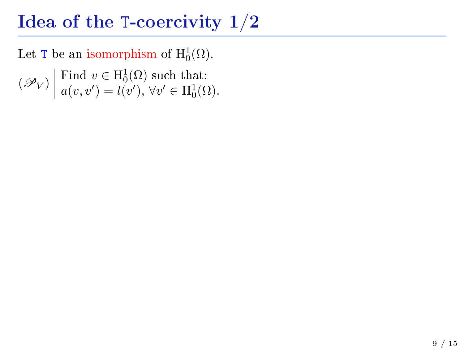Let T be an isomorphism of  $\mathrm{H}_0^1(\Omega)$ .

 $(\mathscr{P}_V)$  Find  $v \in H_0^1(\Omega)$  such that:<br> $\mathscr{P}_V$   $\Big|$   $\mathscr{P}_Q(v, v') = l(v') \quad \forall v' \in H^1(\Omega)$  $a(v, v') = l(v'), \forall v' \in H_0^1(\Omega).$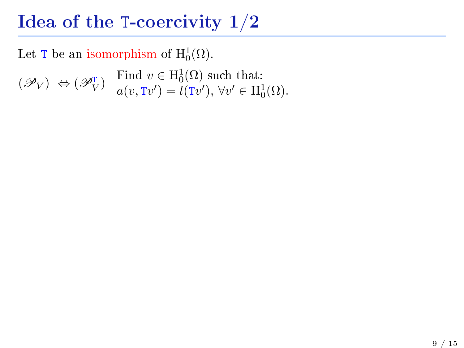Let T be an isomorphism of  $\mathrm{H}_0^1(\Omega)$ .

 $(\mathscr{P}_V) \Leftrightarrow (\mathscr{P}_V^{\mathsf{T}}) \begin{bmatrix} \text{Find } v \in \mathrm{H}_0^1(\Omega) \text{ such that:} \\ a(v, \mathrm{T}v') = l(\mathrm{T}v') \ \forall v' \in \mathrm{H}^1 \end{bmatrix}$  $a(v, Tv') = l(Tv'), \forall v' \in H_0^1(\Omega).$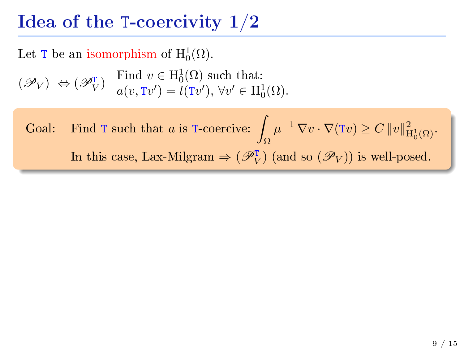Let T be an isomorphism of  $\mathrm{H}_0^1(\Omega)$ .

 $(\mathscr{P}_V) \Leftrightarrow (\mathscr{P}_V^{\mathsf{T}}) \begin{bmatrix} \text{Find } v \in \mathrm{H}_0^1(\Omega) \text{ such that:} \\ a(v, \mathrm{T}v') = l(\mathrm{T}v') \ \forall v' \in \mathrm{H}^1 \end{bmatrix}$  $a(v, Tv') = l(Tv'), \forall v' \in H_0^1(\Omega).$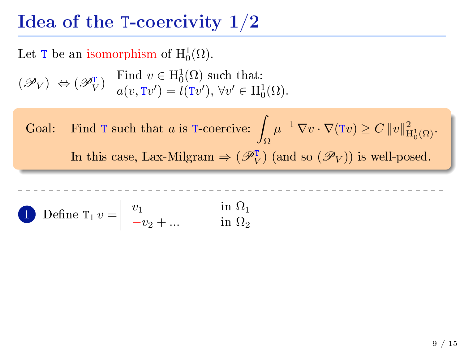Let T be an isomorphism of  $\mathrm{H}_0^1(\Omega)$ .

$$
(\mathcal{P}_V) \Leftrightarrow (\mathcal{P}_V^{\mathsf{T}}) \middle| \text{ Find } v \in H_0^1(\Omega) \text{ such that:}
$$
  
 $a(v, Tv') = l(Tv'), \forall v' \in H_0^1(\Omega).$ 

**1** Define 
$$
T_1 v = \begin{vmatrix} v_1 & \text{in } \Omega_1 \\ -v_2 + \dots & \text{in } \Omega_2 \end{vmatrix}
$$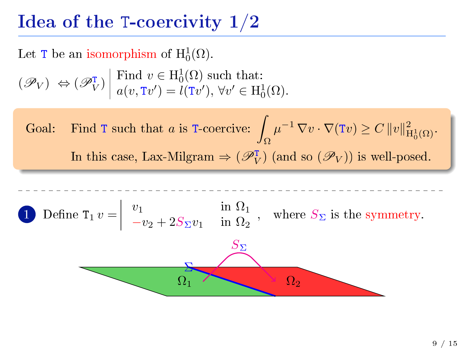Let T be an isomorphism of  $\mathrm{H}_0^1(\Omega)$ .

$$
(\mathcal{P}_V) \Leftrightarrow (\mathcal{P}_V^{\mathsf{T}}) \middle| \text{ Find } v \in H_0^1(\Omega) \text{ such that:}
$$
  
 $a(v, Tv') = l(Tv'), \forall v' \in H_0^1(\Omega).$ 

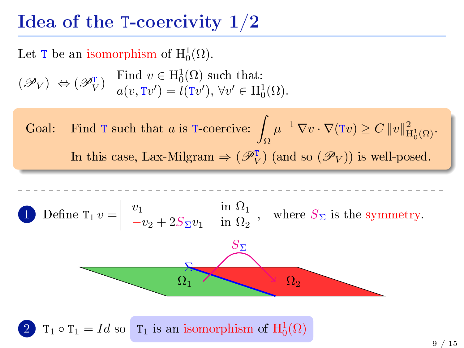Let T be an isomorphism of  $\mathrm{H}_0^1(\Omega)$ .

$$
(\mathcal{P}_V) \Leftrightarrow (\mathcal{P}_V^{\mathsf{T}}) \middle| \text{ Find } v \in H_0^1(\Omega) \text{ such that:}
$$
  
 $a(v, Tv') = l(Tv'), \forall v' \in H_0^1(\Omega).$ 

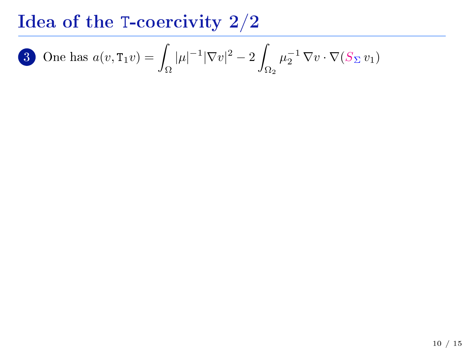**3** One has 
$$
a(v, \texttt{T}_1 v) = \int_{\Omega} |\mu|^{-1} |\nabla v|^2 - 2 \int_{\Omega_2} \mu_2^{-1} \nabla v \cdot \nabla (S_{\Sigma} v_1)
$$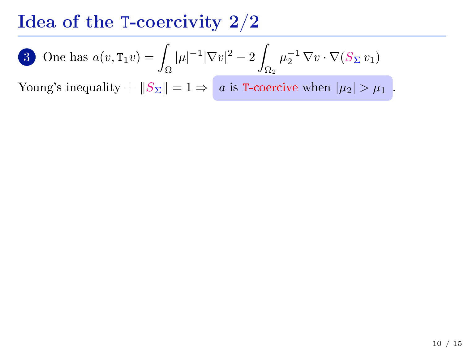3 One has 
$$
a(v, \texttt{T}_1 v) = \int_{\Omega} |\mu|^{-1} |\nabla v|^2 - 2 \int_{\Omega_2} \mu_2^{-1} \nabla v \cdot \nabla (S_{\Sigma} v_1)
$$

Young's inequality +  $||S_{\Sigma}|| = 1 \Rightarrow a$  is T-coercive when  $|\mu_2| > \mu_1$ .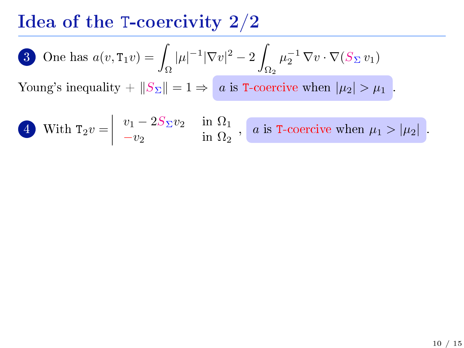**3** One has 
$$
a(v, \texttt{T}_1 v) = \int_{\Omega} |\mu|^{-1} |\nabla v|^2 - 2 \int_{\Omega_2} \mu_2^{-1} \nabla v \cdot \nabla (S_{\Sigma} v_1)
$$

Young's inequality +  $||S_{\Sigma}|| = 1 \Rightarrow a$  is T-coercive when  $|\mu_2| > \mu_1$ .

**4** With 
$$
\mathbf{T}_2 v = \begin{vmatrix} v_1 - 2S_{\Sigma}v_2 & \text{in } \Omega_1 \\ -v_2 & \text{in } \Omega_2 \end{vmatrix}
$$
, \n*a* is **T**-coercive when  $\mu_1 > |\mu_2|$ .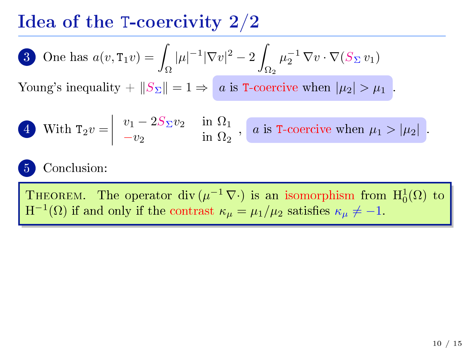**3** One has 
$$
a(v, \text{T}_1 v) = \int_{\Omega} |\mu|^{-1} |\nabla v|^2 - 2 \int_{\Omega_2} \mu_2^{-1} \nabla v \cdot \nabla (S_{\Sigma} v_1)
$$

Young's inequality +  $||S_{\Sigma}|| = 1 \Rightarrow a$  is T-coercive when  $|\mu_2| > \mu_1$ .

**4** With 
$$
T_2v = \begin{vmatrix} v_1 - 2S_{\Sigma}v_2 & \text{in } \Omega_1 \\ -v_2 & \text{in } \Omega_2 \end{vmatrix}
$$
, \n*a* is T-coercive when  $\mu_1 > |\mu_2|$ .

#### 5 Conclusion:

THEOREM. The operator div $(\mu^{-1} \nabla \cdot)$  is an isomorphism from  $H_0^1(\Omega)$  to  $H^{-1}(\Omega)$  if and only if the contrast  $\kappa_{\mu} = \mu_1/\mu_2$  satisfies  $\kappa_{\mu} \neq -1$ .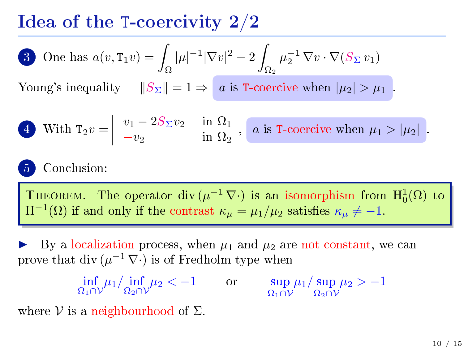3 One has 
$$
a(v, \texttt{T}_1 v) = \int_{\Omega} |\mu|^{-1} |\nabla v|^2 - 2 \int_{\Omega_2} \mu_2^{-1} \nabla v \cdot \nabla (S_{\Sigma} v_1)
$$

Young's inequality +  $||S_{\Sigma}|| = 1 \Rightarrow a$  is T-coercive when  $|\mu_2| > \mu_1$ .

**4** With 
$$
T_2v = \begin{vmatrix} v_1 - 2S_{\Sigma}v_2 & \text{in } \Omega_1 \\ -v_2 & \text{in } \Omega_2 \end{vmatrix}
$$
, \n*a* is T-coercive when  $\mu_1 > |\mu_2|$ .

#### Conclusion:

THEOREM. The operator div $(\mu^{-1} \nabla \cdot)$  is an isomorphism from  $H_0^1(\Omega)$  to  $H^{-1}(\Omega)$  if and only if the contrast  $\kappa_{\mu} = \mu_1/\mu_2$  satisfies  $\kappa_{\mu} \neq -1$ .

By a localization process, when  $\mu_1$  and  $\mu_2$  are not constant, we can prove that div  $(\mu^{-1} \nabla \cdot)$  is of Fredholm type when

 $\inf_{\Omega_1 \cap V} \mu_1 / \inf_{\Omega_2 \cap V} \mu_2 < -1$  or  $\sup_{\Omega_1 \cap V} \mu_1 / \sup_{\Omega_2 \cap V} \mu_2 > -1$ 

where  $V$  is a neighbourhood of  $\Sigma$ .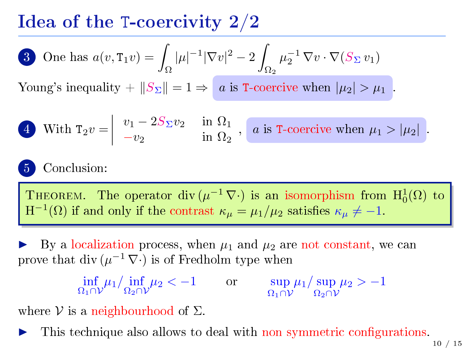3 One has 
$$
a(v, \texttt{T}_1 v) = \int_{\Omega} |\mu|^{-1} |\nabla v|^2 - 2 \int_{\Omega_2} \mu_2^{-1} \nabla v \cdot \nabla (S_{\Sigma} v_1)
$$

Young's inequality  $+||S_{\Sigma}|| = 1 \Rightarrow a$  is T-coercive when  $|\mu_2| > \mu_1$ .

**4** With 
$$
T_2v = \begin{vmatrix} v_1 - 2S_{\Sigma}v_2 & \text{in } \Omega_1 \\ -v_2 & \text{in } \Omega_2 \end{vmatrix}
$$
, \n*a* is T-coercive when  $\mu_1 > |\mu_2|$ .

#### 5 Conclusion:

THEOREM. The operator div $(\mu^{-1} \nabla \cdot)$  is an isomorphism from  $H_0^1(\Omega)$  to  $H^{-1}(\Omega)$  if and only if the contrast  $\kappa_{\mu} = \mu_1/\mu_2$  satisfies  $\kappa_{\mu} \neq -1$ .

By a localization process, when  $\mu_1$  and  $\mu_2$  are not constant, we can prove that div  $(\mu^{-1} \nabla \cdot)$  is of Fredholm type when

 $\inf_{\Omega_1 \cap V} \mu_1 / \inf_{\Omega_2 \cap V} \mu_2 < -1$  or  $\sup_{\Omega_1 \cap V} \mu_1 / \sup_{\Omega_2 \cap V} \mu_2 > -1$ 

where  $\mathcal V$  is a neighbourhood of  $\Sigma$ .

This technique also allows to deal with non symmetric configurations.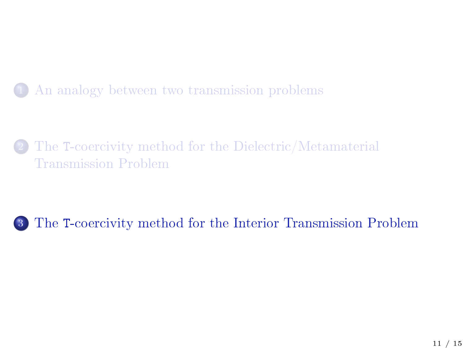#### 1 [An analogy between two transmission problems](#page-1-0)

The [T-coercivity method for the Dielectric/Metamaterial](#page-25-0) [Transmission Problem](#page-25-0)

#### <span id="page-45-0"></span><sup>3</sup> The [T-coercivity method for the Interior Transmission Problem](#page-45-0)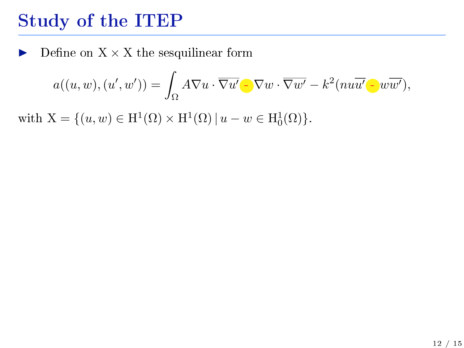$\blacktriangleright$  Define on  $X \times X$  the sesquilinear form

$$
a((u, w), (u', w')) = \int_{\Omega} A \nabla u \cdot \overline{\nabla u'} - \nabla w \cdot \overline{\nabla w'} - k^2 (nu\overline{u'} - w\overline{w'}),
$$

with  $X = \{(u, w) \in H^1(\Omega) \times H^1(\Omega) \mid u - w \in H_0^1(\Omega) \}.$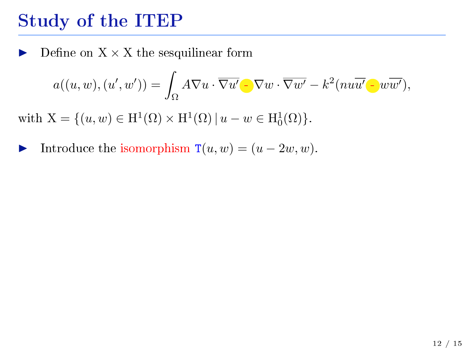Define on  $X \times X$  the sesquilinear form

$$
a((u, w), (u', w')) = \int_{\Omega} A \nabla u \cdot \overline{\nabla u'} - \nabla w \cdot \overline{\nabla w'} - k^2 (nu\overline{u'} - \overline{w'}),
$$

with  $X = \{(u, w) \in H^1(\Omega) \times H^1(\Omega) \mid u - w \in H_0^1(\Omega) \}.$ 

Introduce the isomorphism  $T(u, w) = (u - 2w, w)$ .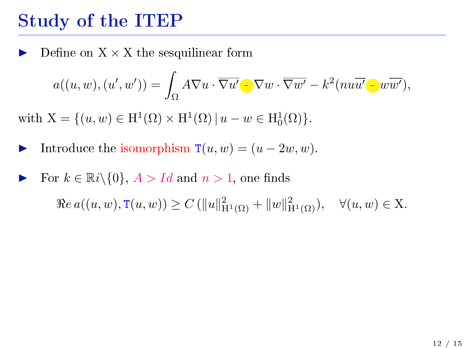Define on  $X \times X$  the sesquilinear form

$$
a((u, w), (u', w')) = \int_{\Omega} A \nabla u \cdot \overline{\nabla u'} - \nabla w \cdot \overline{\nabla w'} - k^2 (nu\overline{u'} - \overline{w'}),
$$

with  $X = \{(u, w) \in H^1(\Omega) \times H^1(\Omega) \mid u - w \in H_0^1(\Omega) \}.$ 

- Introduce the isomorphism  $T(u, w) = (u 2w, w)$ .
- For  $k \in \mathbb{R}$  i $\setminus \{0\}$ ,  $A > Id$  and  $n > 1$ , one finds  $\Re e \, a((u, w), \mathbb{T}(u, w)) \geq C \left( \|u\|_{\mathcal{H}^1(\Omega)}^2 + \|w\|_{\mathcal{H}^1(\Omega)}^2 \right), \quad \forall (u, w) \in \mathcal{X}.$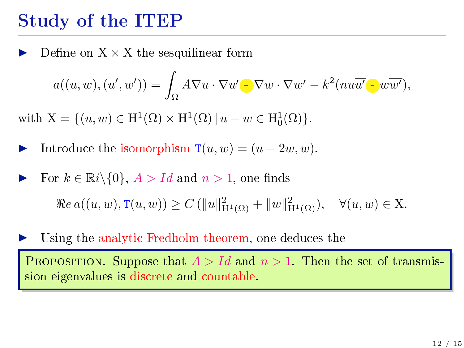Define on  $X \times X$  the sesquilinear form

$$
a((u, w), (u', w')) = \int_{\Omega} A \nabla u \cdot \overline{\nabla u'} - \nabla w \cdot \overline{\nabla w'} - k^2 (nu\overline{u'} - \overline{w'}),
$$

with  $X = \{(u, w) \in H^1(\Omega) \times H^1(\Omega) \mid u - w \in H_0^1(\Omega) \}.$ 

Introduce the isomorphism  $T(u, w) = (u - 2w, w)$ .

For  $k \in \mathbb{R}i \setminus \{0\}$ ,  $A > Id$  and  $n > 1$ , one finds  $\Re e \, a((u, w), \mathbb{T}(u, w)) \geq C \left( \|u\|_{\mathcal{H}^1(\Omega)}^2 + \|w\|_{\mathcal{H}^1(\Omega)}^2 \right), \quad \forall (u, w) \in \mathcal{X}.$ 

Using the analytic Fredholm theorem, one deduces the

PROPOSITION. Suppose that  $A > Id$  and  $n > 1$ . Then the set of transmission eigenvalues is discrete and countable.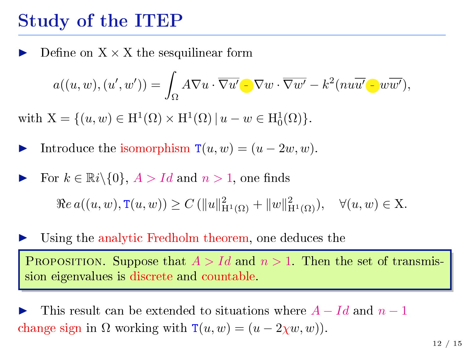Define on  $X \times X$  the sesquilinear form

$$
a((u, w), (u', w')) = \int_{\Omega} A \nabla u \cdot \overline{\nabla u'} \cdot \nabla w \cdot \overline{\nabla w'} - k^2 (nu\overline{u'} \cdot w\overline{w'}),
$$

with  $X = \{(u, w) \in H^1(\Omega) \times H^1(\Omega) \mid u - w \in H_0^1(\Omega) \}.$ 

Introduce the isomorphism  $T(u, w) = (u - 2w, w)$ .

For  $k \in \mathbb{R}i \setminus \{0\}$ ,  $A > Id$  and  $n > 1$ , one finds  $\Re e \, a((u, w), \mathbb{T}(u, w)) \geq C \left( \|u\|_{\mathcal{H}^1(\Omega)}^2 + \|w\|_{\mathcal{H}^1(\Omega)}^2 \right), \quad \forall (u, w) \in \mathcal{X}.$ 

Using the analytic Fredholm theorem, one deduces the

**PROPOSITION.** Suppose that  $A > Id$  and  $n > 1$ . Then the set of transmission eigenvalues is discrete and countable.

This result can be extended to situations where  $A - Id$  and  $n - 1$ change sign in  $\Omega$  working with  $\mathbf{T}(u, w) = (u - 2\chi w, w)$ .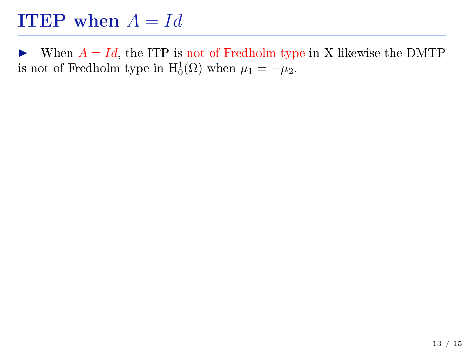$\triangleright$  When  $A = Id$ , the ITP is not of Fredholm type in X likewise the DMTP is not of Fredholm type in  $H_0^1(\Omega)$  when  $\mu_1 = -\mu_2$ .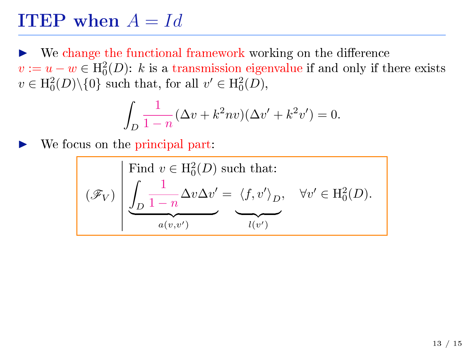We change the functional framework working on the difference  $v := u - w \in \mathrm{H}_0^2(D)$ : k is a transmission eigenvalue if and only if there exists  $v \in \mathrm{H}_0^2(D) \backslash \{0\}$  such that, for all  $v' \in \mathrm{H}_0^2(D)$ ,

$$
\int_{D} \frac{1}{1-n} (\Delta v + k^2 n v)(\Delta v' + k^2 v') = 0.
$$

We focus on the principal part:

$$
\mathscr{F}_V
$$
 
$$
\left| \begin{array}{cc} \text{Find } v \in \mathrm{H}_0^2(D) \text{ such that:} \\ \int_D \frac{1}{1-n} \Delta v \Delta v' = \langle f, v' \rangle_D, & \forall v' \in \mathrm{H}_0^2(D). \end{array} \right|
$$

$$
\underbrace{a(v,v')}_{a(v,v')}
$$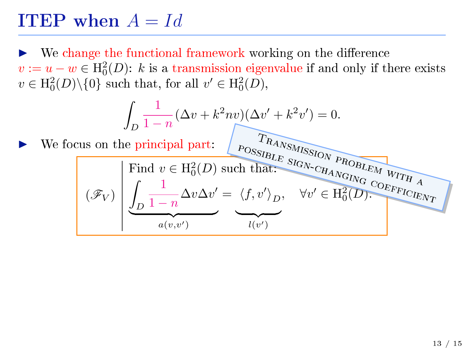We change the functional framework working on the difference  $v := u - w \in \mathrm{H}_0^2(D)$ : k is a transmission eigenvalue if and only if there exists  $v \in \mathrm{H}_0^2(D) \backslash \{0\}$  such that, for all  $v' \in \mathrm{H}_0^2(D)$ ,

$$
\int_{D} \frac{1}{1-n} (\Delta v + k^2 n v)(\Delta v' + k^2 v') = 0.
$$
\nWe focus on the principal part: 
$$
\int_{\text{POSSLELE}} \frac{T_{R4N_{SMHSS}}}{S_{RGM_{SMHSS}}}
$$
\n
$$
\int_{\text{Find}} \text{Find } v \in \text{H}_0^2(D) \text{ such that:}
$$
\n
$$
(\mathcal{F}_V) \left( \underbrace{\int_{D} \frac{1}{1-n} \Delta v \Delta v'}_{a(v,v')} = \underbrace{\langle f, v' \rangle_{D}}_{l(v')} , \quad \forall v' \in \text{H}_0^2(D).
$$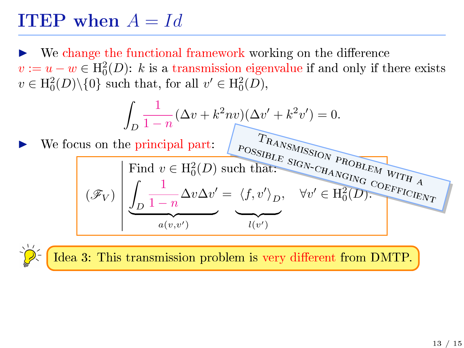We change the functional framework working on the difference  $v := u - w \in \mathrm{H}_0^2(D)$ : k is a transmission eigenvalue if and only if there exists  $v \in \mathrm{H}_0^2(D) \backslash \{0\}$  such that, for all  $v' \in \mathrm{H}_0^2(D)$ ,

$$
\int_{D} \frac{1}{1-n} (\Delta v + k^2 n v)(\Delta v' + k^2 v') = 0.
$$
\nWe focus on the principal part: 
$$
P_{\text{OSSIBLE}} \sum_{K A N S M I S S I O N} \frac{R_{A N S M I S S I O N}}{P_{\text{ROBLEM}} \sqrt{R_{\text{OBLEM}}}}
$$
\n
$$
\boxed{(\mathcal{F}_V) \left[\underbrace{\int_{D} \frac{1}{1-n} \Delta v \Delta v'}_{a(v, v')} = \underbrace{\langle f, v' \rangle_{D}}_{l(v')} , \forall v' \in \text{H}_{0}^{2}(D) .}^{\text{VU}} \right]}
$$

Idea 3: This transmission problem is very different from DMTP.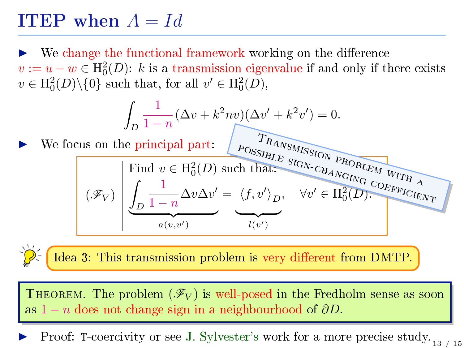We change the functional framework working on the difference  $v := u - w \in \mathrm{H}_0^2(D)$ : k is a transmission eigenvalue if and only if there exists  $v \in \mathrm{H}_0^2(D) \backslash \{0\}$  such that, for all  $v' \in \mathrm{H}_0^2(D)$ ,

$$
\int_{D} \frac{1}{1-n} (\Delta v + k^2 n v)(\Delta v' + k^2 v') = 0.
$$
\nWe focus on the principal part: 
$$
P_{\text{OSSIBLE}} \sum_{K \text{OWSI}} P_{\text{R4NSMISSIO/V}} P_{\text{ROBLEM}} \sum_{W \text{IFL}} P_{\text{R4NGMISSIO/V}} P_{\text{ROBLEM}} \sum_{W \text{IFL}} \left( \mathcal{F}_{V} \right) \left( \underbrace{\int_{D} \frac{1}{1-n} \Delta v \Delta v'}_{a(v,v')} = \underbrace{\langle f, v' \rangle_{D}}_{l(v')} , \forall v' \in \text{H}_{0}^{2}(D). \underbrace{\text{CSEF}_{\text{F1QIE/V}} \sum_{V \text{IFL}} P_{\text{R4NSM}} P_{\text{R4NSM}} P_{\text{R4NSM}} P_{\text{R4NSM}} P_{\text{R4NSM}} P_{\text{R4NSM}} P_{\text{R4NSM}} P_{\text{R4NSM}} P_{\text{R4NSM}} P_{\text{R4NSM}} P_{\text{R4NSM}} P_{\text{R4NSM}} P_{\text{R4NSM}} P_{\text{R4NSM}} P_{\text{R4NSM}} P_{\text{R4NSM}} P_{\text{R4NSM}} P_{\text{R4NSM}} P_{\text{R4NSM}} P_{\text{R4NSM}} P_{\text{R4NSM}} P_{\text{R4NSM}} P_{\text{R4NSM}} P_{\text{R4NSM}} P_{\text{R4NSM}} P_{\text{R4NSM}} P_{\text{R4NSM}} P_{\text{R4NSM}} P_{\text{R4NSM}} P_{\text{R4NSM}} P_{\text{R4NSM}} P_{\text{R4NSM}} P_{\text{R4NSM}} P_{\text{R4NSM}} P_{\text{R4NSM}} P_{\text{R4NSM}} P_{\text{R4NSM}} P_{\text{R4NSM}} P_{\text{R4NSM}} P_{\text{R4NSM}} P_{\text{R4NSM}} P_{\text{R4NSM}} P_{\text{R4NSM}} P_{\text{R4NSM}} P_{\text{R4NSM}} P_{\text{R4NSM}} P_{\text{R4NSM}} P_{\text{R4NSM}} P_{\text{R4NSM}} P_{\text{R4NSM}} P_{\text{R4
$$

Idea 3: This transmission problem is very different from DMTP.

THEOREM. The problem  $(\mathscr{F}_V)$  is well-posed in the Fredholm sense as soon as  $1 - n$  does not change sign in a neighbourhood of  $\partial D$ .

Proof: T-coercivity or see J. Sylvester's work for a more precise study.  $_{13/15}$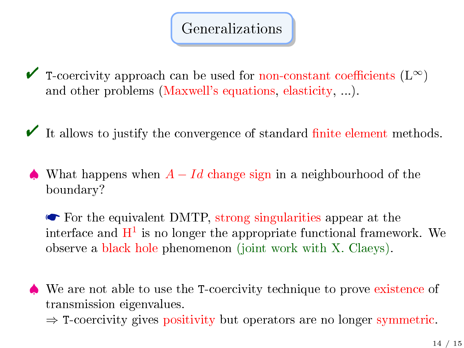#### Generalizations

 $\blacktriangleright$  T-coercivity approach can be used for non-constant coefficients (L∞) and other problems (Maxwell's equations, elasticity, ...).

"It allows to justify the convergence of standard finite element methods.

 $\triangle$  What happens when  $A - Id$  change sign in a neighbourhood of the boundary?

For the equivalent DMTP, strong singularities appear at the interface and  $\mathrm{H}^1$  is no longer the appropriate functional framework. We observe a black hole phenomenon (joint work with X. Claeys).

We are not able to use the T-coercivity technique to prove existence of transmission eigenvalues.

 $\Rightarrow$  T-coercivity gives positivity but operators are no longer symmetric.